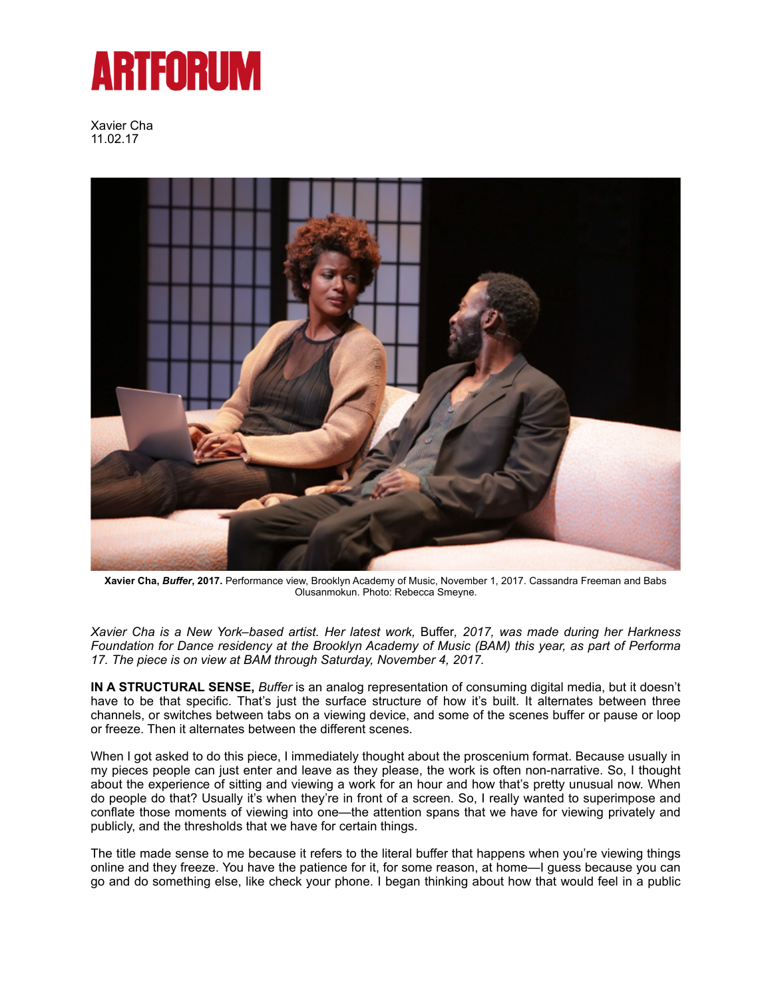## **ARTFORUM**

Xavier Cha 11.02.17



**[Xavier Cha](https://www.artforum.com/search/search=%22Xavier%20Cha%22),** *Buffer***, 2017.** Performance view, Brooklyn Academy of Music, November 1, 2017. Cassandra Freeman and Babs Olusanmokun. Photo: Rebecca Smeyne.

*[Xavier Cha](https://www.artforum.com/search/search=%22Xavier%20Cha%22) is a New York–based artist. Her latest work,* Buffer*, 2017, was made during her Harkness Foundation for Dance residency at the [Brooklyn Academy of Music](https://www.artforum.com/guide/country=US&place=new-york&jump=5642#location5642) (BAM) this year, as part of Performa 17. The piece is on view at BAM through Saturday, November 4, 2017.* 

**IN A STRUCTURAL SENSE,** *Buffer* is an analog representation of consuming digital media, but it doesn't have to be that specific. That's just the surface structure of how it's built. It alternates between three channels, or switches between tabs on a viewing device, and some of the scenes buffer or pause or loop or freeze. Then it alternates between the different scenes.

When I got asked to do this piece, I immediately thought about the proscenium format. Because usually in my pieces people can just enter and leave as they please, the work is often non-narrative. So, I thought about the experience of sitting and viewing a work for an hour and how that's pretty unusual now. When do people do that? Usually it's when they're in front of a screen. So, I really wanted to superimpose and conflate those moments of viewing into one—the attention spans that we have for viewing privately and publicly, and the thresholds that we have for certain things.

The title made sense to me because it refers to the literal buffer that happens when you're viewing things online and they freeze. You have the patience for it, for some reason, at home—I guess because you can go and do something else, like check your phone. I began thinking about how that would feel in a public